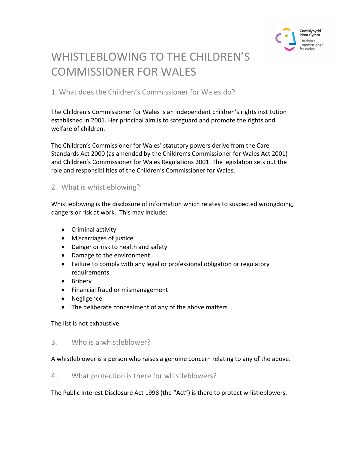

# WHISTLEBLOWING TO THE CHILDREN'S COMMISSIONER FOR WALES

1. What does the Children's Commissioner for Wales do?

The Children's Commissioner for Wales is an independent children's rights institution established in 2001. Her principal aim is to safeguard and promote the rights and welfare of children.

The Children's Commissioner for Wales' statutory powers derive from the Care Standards Act 2000 (as amended by the Children's Commissioner for Wales Act 2001) and Children's Commissioner for Wales Regulations 2001. The legislation sets out the role and responsibilities of the Children's Commissioner for Wales.

## 2. What is whistleblowing?

Whistleblowing is the disclosure of information which relates to suspected wrongdoing, dangers or risk at work. This may include:

- Criminal activity
- Miscarriages of justice
- Danger or risk to health and safety
- Damage to the environment
- Failure to comply with any legal or professional obligation or regulatory requirements
- Bribery
- Financial fraud or mismanagement
- Negligence
- The deliberate concealment of any of the above matters

The list is not exhaustive.

## 3. Who is a whistleblower?

#### A whistleblower is a person who raises a genuine concern relating to any of the above.

#### 4. What protection is there for whistleblowers?

The Public Interest Disclosure Act 1998 (the "Act") is there to protect whistleblowers.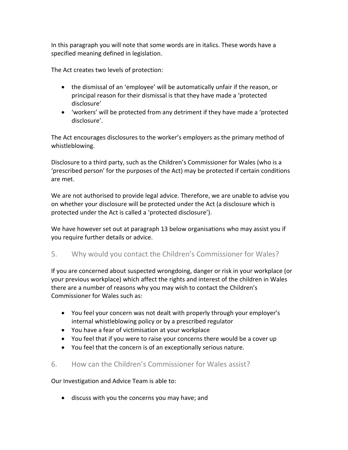In this paragraph you will note that some words are in italics. These words have a specified meaning defined in legislation.

The Act creates two levels of protection:

- the dismissal of an 'employee' will be automatically unfair if the reason, or principal reason for their dismissal is that they have made a 'protected disclosure'
- 'workers' will be protected from any detriment if they have made a 'protected disclosure'.

The Act encourages disclosures to the worker's employers as the primary method of whistleblowing.

Disclosure to a third party, such as the Children's Commissioner for Wales (who is a 'prescribed person' for the purposes of the Act) may be protected if certain conditions are met.

We are not authorised to provide legal advice. Therefore, we are unable to advise you on whether your disclosure will be protected under the Act (a disclosure which is protected under the Act is called a 'protected disclosure').

We have however set out at paragraph 13 below organisations who may assist you if you require further details or advice.

# 5. Why would you contact the Children's Commissioner for Wales?

If you are concerned about suspected wrongdoing, danger or risk in your workplace (or your previous workplace) which affect the rights and interest of the children in Wales there are a number of reasons why you may wish to contact the Children's Commissioner for Wales such as:

- You feel your concern was not dealt with properly through your employer's internal whistleblowing policy or by a prescribed regulator
- You have a fear of victimisation at your workplace
- You feel that if you were to raise your concerns there would be a cover up
- You feel that the concern is of an exceptionally serious nature.

# 6. How can the Children's Commissioner for Wales assist?

Our Investigation and Advice Team is able to:

discuss with you the concerns you may have; and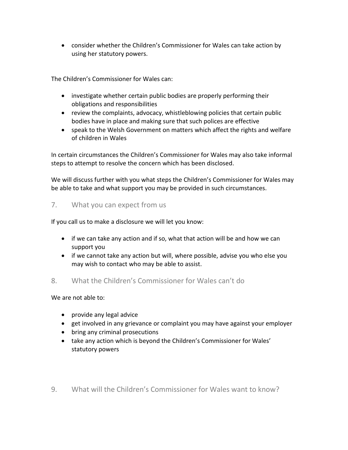consider whether the Children's Commissioner for Wales can take action by using her statutory powers.

The Children's Commissioner for Wales can:

- investigate whether certain public bodies are properly performing their obligations and responsibilities
- review the complaints, advocacy, whistleblowing policies that certain public bodies have in place and making sure that such polices are effective
- speak to the Welsh Government on matters which affect the rights and welfare of children in Wales

In certain circumstances the Children's Commissioner for Wales may also take informal steps to attempt to resolve the concern which has been disclosed.

We will discuss further with you what steps the Children's Commissioner for Wales may be able to take and what support you may be provided in such circumstances.

#### 7. What you can expect from us

If you call us to make a disclosure we will let you know:

- if we can take any action and if so, what that action will be and how we can support you
- if we cannot take any action but will, where possible, advise you who else you may wish to contact who may be able to assist.
- 8. What the Children's Commissioner for Wales can't do

We are not able to:

- provide any legal advice
- get involved in any grievance or complaint you may have against your employer
- bring any criminal prosecutions
- take any action which is beyond the Children's Commissioner for Wales' statutory powers
- 9. What will the Children's Commissioner for Wales want to know?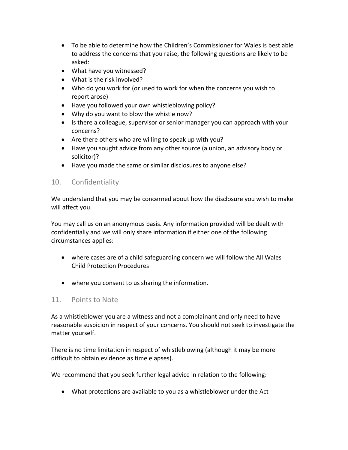- To be able to determine how the Children's Commissioner for Wales is best able to address the concerns that you raise, the following questions are likely to be asked:
- What have you witnessed?
- What is the risk involved?
- Who do you work for (or used to work for when the concerns you wish to report arose)
- Have you followed your own whistleblowing policy?
- Why do you want to blow the whistle now?
- Is there a colleague, supervisor or senior manager you can approach with your concerns?
- Are there others who are willing to speak up with you?
- Have you sought advice from any other source (a union, an advisory body or solicitor)?
- Have you made the same or similar disclosures to anyone else?

## 10. Confidentiality

We understand that you may be concerned about how the disclosure you wish to make will affect you.

You may call us on an anonymous basis. Any information provided will be dealt with confidentially and we will only share information if either one of the following circumstances applies:

- where cases are of a child safeguarding concern we will follow the All Wales Child Protection Procedures
- where you consent to us sharing the information.

#### 11. Points to Note

As a whistleblower you are a witness and not a complainant and only need to have reasonable suspicion in respect of your concerns. You should not seek to investigate the matter yourself.

There is no time limitation in respect of whistleblowing (although it may be more difficult to obtain evidence as time elapses).

We recommend that you seek further legal advice in relation to the following:

What protections are available to you as a whistleblower under the Act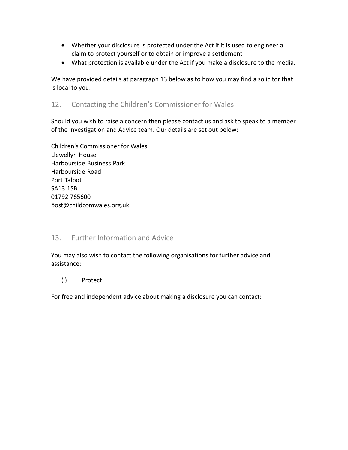- Whether your disclosure is protected under the Act if it is used to engineer a claim to protect yourself or to obtain or improve a settlement
- What protection is available under the Act if you make a disclosure to the media.

We have provided details at paragraph 13 below as to how you may find a solicitor that is local to you.

## 12. Contacting the Children's Commissioner for Wales

Should you wish to raise a concern then please contact us and ask to speak to a member of the Investigation and Advice team. Our details are set out below:

Children's Commissioner for Wale Llewellyn House Harbourside Business Park Harbourside Road Port Talbot SA13 1SB post@childcomwales.org.uk 01792 765600

## 13. Further Information and Advice

You may also wish to contact the following organisations for further advice and assistance:

Protect

(i) Protect<br>For free and independent advice about making a disclosure you can contact: